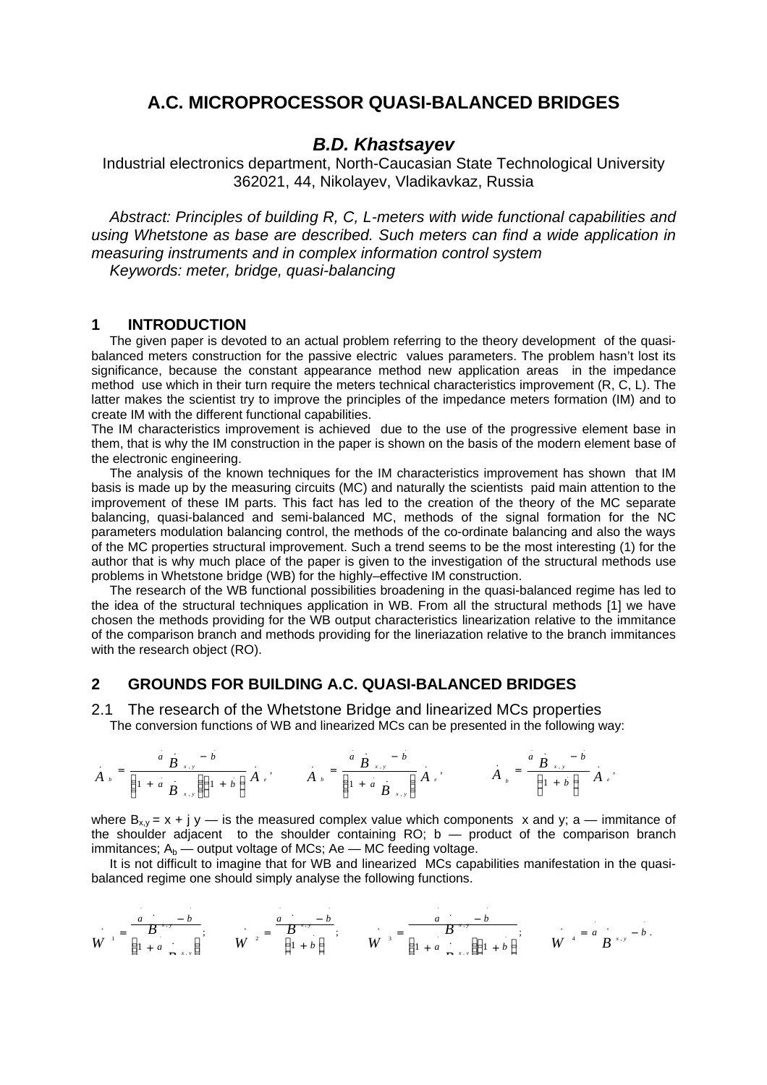# **A.C. MICROPROCESSOR QUASI-BALANCED BRIDGES**

## *B.D. Khastsayev*

Industrial electronics department, North-Caucasian State Technological University 362021, 44, Nikolayev, Vladikavkaz, Russia

*Abstract: Principles of building R, C, L-meters with wide functional capabilities and using Whetstone as base are described. Such meters can find a wide application in measuring instruments and in complex information control system Keywords: meter, bridge, quasi-balancing*

## **1 INTRODUCTION**

The given paper is devoted to an actual problem referring to the theory development of the quasibalanced meters construction for the passive electric values parameters. The problem hasn't lost its significance, because the constant appearance method new application areas in the impedance method use which in their turn require the meters technical characteristics improvement (R, C, L). The latter makes the scientist try to improve the principles of the impedance meters formation (IM) and to create IM with the different functional capabilities.

The IM characteristics improvement is achieved due to the use of the progressive element base in them, that is why the IM construction in the paper is shown on the basis of the modern element base of the electronic engineering.

The analysis of the known techniques for the IM characteristics improvement has shown that IM basis is made up by the measuring circuits (MC) and naturally the scientists paid main attention to the improvement of these IM parts. This fact has led to the creation of the theory of the MC separate balancing, quasi-balanced and semi-balanced MC, methods of the signal formation for the NC parameters modulation balancing control, the methods of the co-ordinate balancing and also the ways of the MC properties structural improvement. Such a trend seems to be the most interesting (1) for the author that is why much place of the paper is given to the investigation of the structural methods use problems in Whetstone bridge (WB) for the highly–effective IM construction.

The research of the WB functional possibilities broadening in the quasi-balanced regime has led to the idea of the structural techniques application in WB. From all the structural methods [1] we have chosen the methods providing for the WB output characteristics linearization relative to the immitance of the comparison branch and methods providing for the lineriazation relative to the branch immitances with the research object (RO).

## **2 GROUNDS FOR BUILDING A.C. QUASI-BALANCED BRIDGES**

2.1 The research of the Whetstone Bridge and linearized MCs properties The conversion functions of WB and linearized MCs can be presented in the following way:

$$
A_{b} = \frac{a_{B_{x,y}} - b}{\left(1 + a_{B_{x,y}}\right)\left(1 + b\right)} A_{e}, \qquad A_{b} = \frac{a_{B_{x,y}} - b}{\left(1 + a_{B_{x,y}}\right)} A_{e}, \qquad A_{b} = \frac{a_{B_{x,y}} - b}{\left(1 + b\right)} A_{e},
$$

where  $B_{x,y} = x + j y$  — is the measured complex value which components x and y; a — immitance of the shoulder adjacent to the shoulder containing RO;  $b -$  product of the comparison branch immitances;  $A_b$  — output voltage of MCs; Ae — MC feeding voltage.

It is not difficult to imagine that for WB and linearized MCs capabilities manifestation in the quasibalanced regime one should simply analyse the following functions.

$$
W^{-1} = \frac{a}{\begin{pmatrix} 1+a & b \\ 1+a & b \end{pmatrix}}, \qquad W^{-2} = \frac{a}{\begin{pmatrix} 1+b \\ 1+b \end{pmatrix}}, \qquad W^{-3} = \frac{a}{\begin{pmatrix} 1+a & b \\ 1+a & b \end{pmatrix}}, \qquad W^{-4} = a \begin{pmatrix} 1+b & b \end{pmatrix}.
$$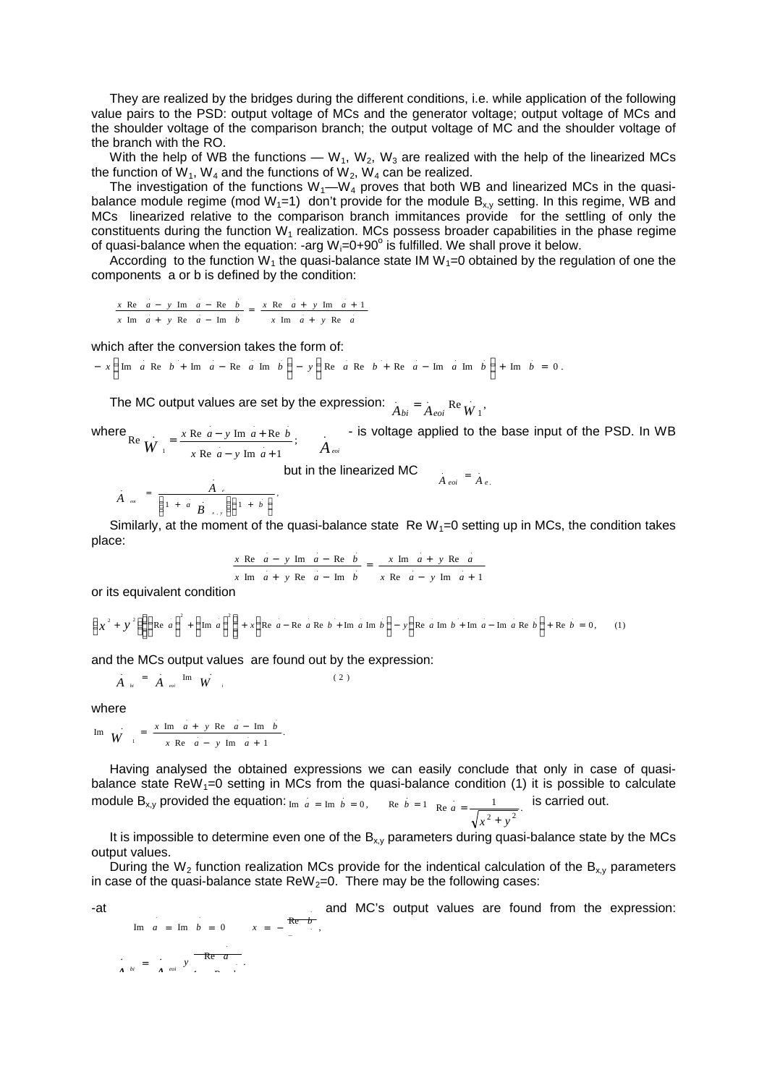They are realized by the bridges during the different conditions, i.e. while application of the following value pairs to the PSD: output voltage of MCs and the generator voltage; output voltage of MCs and the shoulder voltage of the comparison branch; the output voltage of MC and the shoulder voltage of the branch with the RO.

With the help of WB the functions — W<sub>1</sub>, W<sub>2</sub>, W<sub>3</sub> are realized with the help of the linearized MCs the function of W<sub>1</sub>, W<sub>4</sub> and the functions of W<sub>2</sub>, W<sub>4</sub> can be realized.

The investigation of the functions  $W_1$ — $W_4$  proves that both WB and linearized MCs in the quasibalance module regime (mod  $W_1=1$ ) don't provide for the module  $B_{x,y}$  setting. In this regime, WB and MCs linearized relative to the comparison branch immitances provide for the settling of only the constituents during the function  $W_1$  realization. MCs possess broader capabilities in the phase regime of quasi-balance when the equation: -arg  $W_i=0+90^\circ$  is fulfilled. We shall prove it below.

According to the function W<sub>1</sub> the quasi-balance state IM W<sub>1</sub>=0 obtained by the regulation of one the components a or b is defined by the condition:

 $x \text{ Im } \dot{a} + y \text{ Re } \dot{a}$  $x \text{ Re } a - y \text{ Im } a - \text{ Re } b$ <br>=  $\frac{x \text{ Re } a + y \text{ Im } a + 1}{}$  $x \text{ Im } a + y \text{ Re } a - \text{ Im } b$ 

which after the conversion takes the form of:

$$
- x \left( \text{Im } a \text{ Re } b + \text{Im } a - \text{Re } a \text{ Im } b \right) - y \left( \text{Re } a \text{ Re } b + \text{Re } a - \text{Im } a \text{ Im } b \right) + \text{Im } b = 0.
$$

The MC output values are set by the expression:  $\lambda_{\text{max}} = \lambda_{\text{max}}$ 1  $A_{bi} = A_{eoi}$  Re  $\dot{W}$ 

where  $\text{Re}\ \mathbf{H} \mathbf{V} = \frac{x \text{ Re } a - y \text{ Im } a + \text{ Re } b}{x \text{ Im } a + x \text{ Re } b}$ ; Re  $a - y$  Im  $a + 1$ Re  $\overline{W} = \frac{x \text{ Re } a - y \text{ Im } a + \text{Re } a}$ . . .  $W_{1} = \frac{1}{x \text{ Re } a - y \text{ Im } a + 1}$ ;  $A_{eoi}$  $x \text{ Re } a - y \text{ Im } a + \text{Re } b$  $- y Im a +$  $=\frac{x \text{ Re } a - y \text{ Im } a + \text{ Re } b}{x \text{ Im } a + \text{ Re } b}$   $A$  - is voltage applied to the base input of the PSD. In WB

but in the linearized MC 
$$
A_{eoi} = A_{e}
$$

$$
\overrightarrow{A} \quad \overrightarrow{a} \quad = \quad \overrightarrow{A} \quad \overrightarrow{A} \quad \overrightarrow{B} \quad \overrightarrow{A} \quad \overrightarrow{B} \quad \overrightarrow{A} \quad \overrightarrow{B} \quad \overrightarrow{A} \quad \overrightarrow{A} \quad \overrightarrow{A} \quad \overrightarrow{A} \quad \overrightarrow{A} \quad \overrightarrow{A} \quad \overrightarrow{A} \quad \overrightarrow{A} \quad \overrightarrow{A} \quad \overrightarrow{A} \quad \overrightarrow{A} \quad \overrightarrow{A} \quad \overrightarrow{A} \quad \overrightarrow{A} \quad \overrightarrow{A} \quad \overrightarrow{A} \quad \overrightarrow{A} \quad \overrightarrow{A} \quad \overrightarrow{A} \quad \overrightarrow{A} \quad \overrightarrow{A} \quad \overrightarrow{A} \quad \overrightarrow{A} \quad \overrightarrow{A} \quad \overrightarrow{A} \quad \overrightarrow{A} \quad \overrightarrow{A} \quad \overrightarrow{A} \quad \overrightarrow{A} \quad \overrightarrow{A} \quad \overrightarrow{A} \quad \overrightarrow{A} \quad \overrightarrow{A} \quad \overrightarrow{A} \quad \overrightarrow{A} \quad \overrightarrow{A} \quad \overrightarrow{A} \quad \overrightarrow{A} \quad \overrightarrow{A} \quad \overrightarrow{A} \quad \overrightarrow{A} \quad \overrightarrow{A} \quad \overrightarrow{A} \quad \overrightarrow{A} \quad \overrightarrow{A} \quad \overrightarrow{A} \quad \overrightarrow{A} \quad \overrightarrow{A} \quad \overrightarrow{A} \quad \overrightarrow{A} \quad \overrightarrow{A} \quad \overrightarrow{A} \quad \overrightarrow{A} \quad \overrightarrow{A} \quad \overrightarrow{A} \quad \overrightarrow{A} \quad \overrightarrow{A} \quad \overrightarrow{A} \quad \overrightarrow{A} \quad \overrightarrow{A} \quad \overrightarrow{A} \quad \overrightarrow{A} \quad \overrightarrow{A} \quad \overrightarrow{A} \quad \overrightarrow{A} \quad \overrightarrow{A} \quad \overrightarrow{A} \quad \overrightarrow{A} \quad \overrightarrow{A} \quad \overrightarrow{A} \quad \overrightarrow{A} \quad \overrightarrow{A} \quad \overrightarrow{A} \quad \overrightarrow{A} \quad \overrightarrow{A} \quad \overrightarrow{A} \quad \overrightarrow{A} \quad \overrightarrow{A} \quad \overrightarrow{A} \quad \overrightarrow{A} \quad \overrightarrow{A} \quad \overrightarrow{A} \quad \overrightarrow{A} \quad \overrightarrow{A} \quad \overrightarrow{A} \quad \overrightarrow{A
$$

.

Similarly, at the moment of the quasi-balance state Re  $W_1=0$  setting up in MCs, the condition takes place:

$$
\frac{x \text{ Re } a - y \text{ Im } a - \text{ Re } b}{x \text{ Im } a + y \text{ Re } a - \text{ Im } b} = \frac{x \text{ Im } a + y \text{ Re } a}{x \text{ Re } a - y \text{ Im } a + 1}
$$

or its equivalent condition

$$
\left(x^{2} + y^{2}\right)\left(\left(\text{Re } a\right)^{2} + \left(\text{Im } a\right)^{2}\right) + x\left(\text{Re } a - \text{Re } a \text{ Re } b + \text{Im } a \text{ Im } b\right) - y\left(\text{Re } a \text{ Im } b + \text{Im } a - \text{Im } a \text{ Re } b\right) + \text{Re } b = 0, \quad (1)
$$

and the MCs output values are found out by the expression:

$$
\dot{A}_{bi} = \dot{A}_{eoi} \text{Im } \dot{W} \tag{2}
$$

.

1 Re

 $\sum_{A}^{B} b_i = \sum_{A}^{B} e^{i\theta} y$  **Re** *a*  $\frac{1}{4}$  *bi* =  $\frac{1}{4}$  *eoi*  $\frac{1}{4}$ 

where

$$
\text{Im} \quad W = \frac{x \text{ Im } a + y \text{ Re } a - \text{ Im } b}{x \text{ Re } a - y \text{ Im } a + 1}.
$$

Having analysed the obtained expressions we can easily conclude that only in case of quasibalance state  $\text{ReW}_1=0$  setting in MCs from the quasi-balance condition (1) it is possible to calculate module B<sub>x,y</sub> provided the equation:  $I_m a = I_m b = 0$ ,  $Re b = 1$   $Re a = \frac{1}{\sqrt{a^2 + y^2}}$ . .  $x^2 + y$ *a* +  $=\frac{1}{\sqrt{1-\frac{1}{\sqrt{1-\frac{1}{\sqrt{1-\frac{1}{\sqrt{1-\frac{1}{\sqrt{1-\frac{1}{\sqrt{1-\frac{1}{\sqrt{1-\frac{1}{\sqrt{1-\frac{1}{\sqrt{1-\frac{1}{\sqrt{1-\frac{1}{\sqrt{1-\frac{1}{\sqrt{1-\frac{1}{\sqrt{1-\frac{1}{\sqrt{1-\frac{1}{\sqrt{1-\frac{1}{\sqrt{1-\frac{1}{\sqrt{1-\frac{1}{\sqrt{1-\frac{1}{\sqrt{1-\frac{1}{\sqrt{1-\frac{1}{\sqrt{1-\frac{1}{\sqrt{1-\frac{1}{\sqrt{1-\frac{1}{\sqrt{1-\frac{1$ 

It is impossible to determine even one of the  $B_{x,y}$  parameters during quasi-balance state by the MCs output values.

During the  $W_2$  function realization MCs provide for the indentical calculation of the  $B_{x,y}$  parameters in case of the quasi-balance state  $\text{ReW}_2=0$ . There may be the following cases:

-at and MC's output values are found from the expression:  
\n
$$
Im a = Im b = 0
$$
  $x = -\frac{Re b}{r}$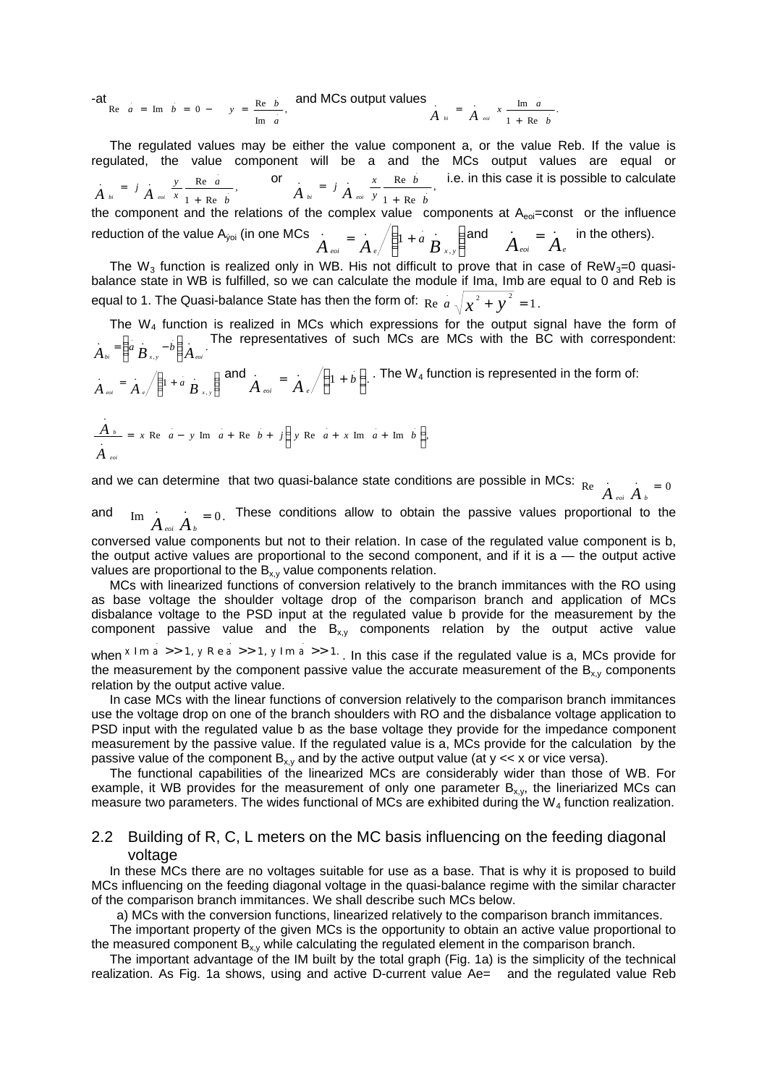-at<br>
Re  $a = \text{Im} b = 0 - y = \frac{\text{Re} b}{y}$ , Re  $a = \text{Im } b = 0 - y = \frac{\text{Re } b}{\text{Im } a}$ *a*  $a = \text{Im} \quad b = 0 - y = \frac{\text{Re} \quad b}{y}$ , and MCs output values  $\frac{1}{a} = \frac{1}{a} - x - \frac{\text{Im} \quad a}{x}$ .  $1 + Re$  $\frac{1}{1}$  =  $\frac{1}{4}$  x  $\frac{\text{Im } a}{1}$ *b*  $A_{bi} = A_{eoi} x \frac{\text{Im } a}{1 + \text{Re} a}$ 

The regulated values may be either the value component a, or the value Reb. If the value is regulated, the value component will be a and the MCs output values are equal or ,  $1 + Re$  $\frac{y}{1}$  =  $j$   $\frac{y}{1}$  Re a *b a x*  $A_{bi} = j \frac{y}{A_{eoi}} \frac{Re \ a}{x} \frac{1}{1 + Re \ b}$ , or  $A_{bi} = j \frac{x}{A_{eoi}} \frac{Re \ b}{y} \frac{1}{1 + Re \ b}$  $1 + Re$  $A = J \frac{x}{N} \frac{Re b}{r}$ . *b b y*  $\dot{A}_{bi} = j \dot{A}_{eoi} \frac{x}{y} \frac{\text{Re } b}{1 + \text{Re } b}$ , i.e. in this case it is possible to calculate

the component and the relations of the complex value components at  $A_{e0}=const$  or the influence reduction of the value A<sub>ýoi</sub> (in one MCs  $\begin{array}{rcl} A & = & A \end{array}$   $\begin{array}{c|c} \end{array}$  $\left( \begin{array}{c} 1 \end{array} \right)$ I  $\frac{1}{4}$  =  $\frac{1}{4}$   $\sqrt{1+a}$ .  $\dot{A}_{eoi} = \dot{A}_{e} \sqrt{\left(1 + a \stackrel{\cdot}{B}_{x,y}\right)}$  and  $\dot{A}_{eoi} = \dot{A}$  $\dot{A}_{\textit{eoi}} = \dot{A}_{\textit{e}}$  in the others).

,

 $\overline{\phantom{a}}$ l The W<sub>3</sub> function is realized only in WB. His not difficult to prove that in case of ReW<sub>3</sub>=0 quasibalance state in WB is fulfilled, so we can calculate the module if Ima, Imb are equal to 0 and Reb is equal to 1. The Quasi-balance State has then the form of:  $\text{Re} \,\,a \,\sqrt{\chi^2+\,{y}^2}\,$  =  $1.$ 

The  $W_4$  function is realized in MCs which expressions for the output signal have the form of  $A = \begin{pmatrix} a & b \\ c & d \end{pmatrix}$ , .  $A$ <sup>bi</sup>  $\Bigl[ \begin{array}{cc} a & B & -b \end{array} \Bigr] A$ <sup>eoi</sup>  $\overline{)}$ Ì I l  $=\begin{pmatrix} a & -b \end{pmatrix}$ . The representatives of such MCs are MCs with the BC with correspondent:

 $\overline{a}$  $\left(1 + a \frac{1}{B_{x,y}}\right)$  $\frac{1}{4}$  =  $\frac{1}{4}$   $\sqrt{1+a}$ ,  $A_{\text{evoi}} = A_{\text{e}} / \left(1 + a \frac{B_{\text{x,y}}}{B_{\text{x,y}}} \right)$  and  $A_{\text{evoi}} = A_{\text{e}} / \left(1 + b\right)$ .  $\left(1+b\right)$  $\dot{A}$ <sub>eoi</sub> =  $\dot{A}$ <sub>e</sub> $\Bigg/ \Bigg(1 + b\Bigg)$ . The  $W_4$  function is represented in the form of:

$$
\frac{A_{b}}{A_{\text{eoi}}} = x \text{ Re } a - y \text{ Im } a + \text{Re } b + j \left( y \text{ Re } a + x \text{ Im } a + \text{ Im } b \right),
$$

.

and we can determine that two quasi-balance state conditions are possible in MCs:  $R$ e  $\overline{A}$ <sub>eoi</sub>  $\overline{A}$ <sub>b</sub> = 0

and  $\lim_{M \to \infty} \frac{1}{A}$   $\lim_{b \to 0} A$   $\lim_{b \to \infty} A$   $\lim_{b \to \infty} A$   $\lim_{b \to \infty} A$   $\lim_{b \to \infty} A$   $\lim_{b \to \infty} A$   $\lim_{b \to \infty} A$ 

conversed value components but not to their relation. In case of the regulated value component is b, the output active values are proportional to the second component, and if it is  $a$  — the output active values are proportional to the  $B_{x,y}$  value components relation.

MCs with linearized functions of conversion relatively to the branch immitances with the RO using as base voltage the shoulder voltage drop of the comparison branch and application of MCs disbalance voltage to the PSD input at the regulated value b provide for the measurement by the component passive value and the  $B_{x,y}$  components relation by the output active value

when  $x \text{Im } a >> 1$ ,  $y \text{Re } a >> 1$ ,  $y \text{Im } a >> 1$ . In this case if the regulated value is a, MCs provide for the measurement by the component passive value the accurate measurement of the  $B_{x,y}$  components relation by the output active value.

In case MCs with the linear functions of conversion relatively to the comparison branch immitances use the voltage drop on one of the branch shoulders with RO and the disbalance voltage application to PSD input with the regulated value b as the base voltage they provide for the impedance component measurement by the passive value. If the regulated value is a, MCs provide for the calculation by the passive value of the component  $B_{x,y}$  and by the active output value (at  $y \ll x$  or vice versa).

The functional capabilities of the linearized MCs are considerably wider than those of WB. For example, it WB provides for the measurement of only one parameter  $B_{x,y}$ , the lineriarized MCs can measure two parameters. The wides functional of MCs are exhibited during the  $W_4$  function realization.

#### 2.2 Building of R, C, L meters on the MC basis influencing on the feeding diagonal voltage

In these MCs there are no voltages suitable for use as a base. That is why it is proposed to build MCs influencing on the feeding diagonal voltage in the quasi-balance regime with the similar character of the comparison branch immitances. We shall describe such MCs below.

a) MCs with the conversion functions, linearized relatively to the comparison branch immitances.

The important property of the given MCs is the opportunity to obtain an active value proportional to the measured component  $B_{x,y}$  while calculating the regulated element in the comparison branch.

The important advantage of the IM built by the total graph (Fig. 1a) is the simplicity of the technical realization. As Fig. 1a shows, using and active D-current value Ae= and the regulated value Reb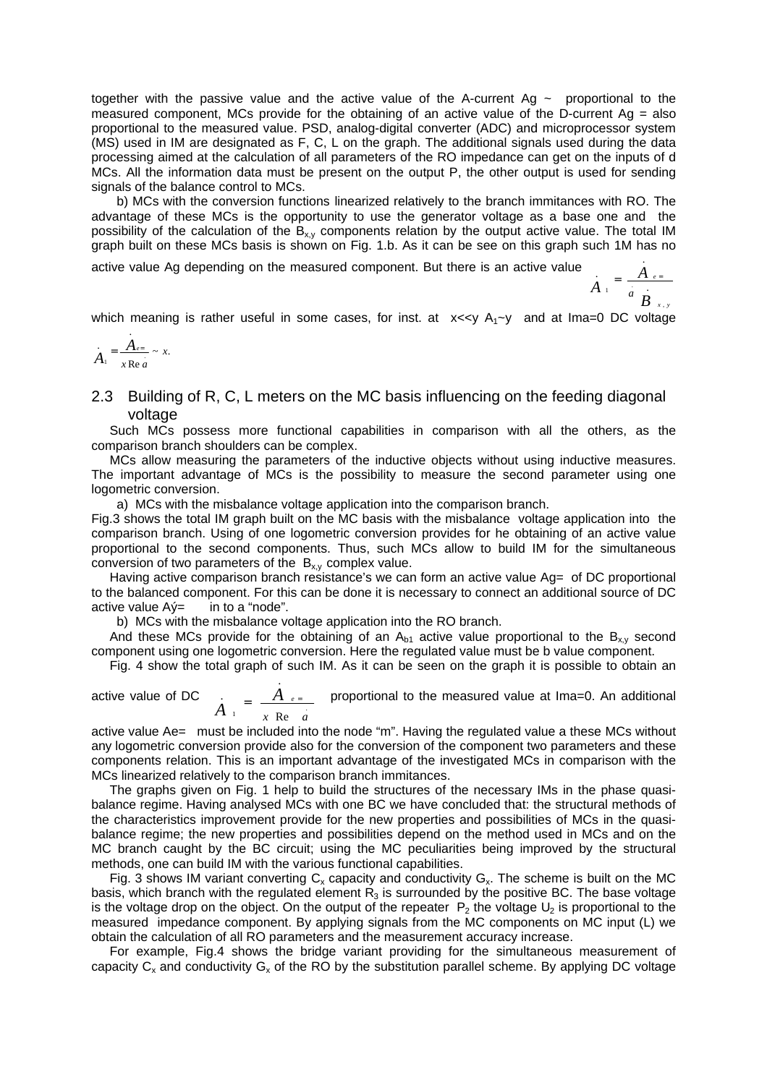together with the passive value and the active value of the A-current Ag  $\sim$  proportional to the measured component, MCs provide for the obtaining of an active value of the D-current Ag = also proportional to the measured value. PSD, analog-digital converter (ADC) and microprocessor system (MS) used in IM are designated as F, C, L on the graph. The additional signals used during the data processing aimed at the calculation of all parameters of the RO impedance can get on the inputs of d MCs. All the information data must be present on the output P, the other output is used for sending signals of the balance control to MCs.

 b) MCs with the conversion functions linearized relatively to the branch immitances with RO. The advantage of these MCs is the opportunity to use the generator voltage as a base one and the possibility of the calculation of the  $B_{x,y}$  components relation by the output active value. The total IM graph built on these MCs basis is shown on Fig. 1.b. As it can be see on this graph such 1M has no .

active value Ag depending on the measured component. But there is an active value

$$
\dot{A}_1 = \frac{A_{e=}}{a} \frac{B_{x,y}}{B_{x,y}}
$$

which meaning is rather useful in some cases, for inst. at  $x \ll y$  A<sub>1</sub> $\sim$ y and at Ima=0 DC voltage

$$
A_1 = \frac{A_{e=}}{x \operatorname{Re} a} \sim x.
$$

#### 2.3 Building of R, C, L meters on the MC basis influencing on the feeding diagonal voltage

Such MCs possess more functional capabilities in comparison with all the others, as the comparison branch shoulders can be complex.

MCs allow measuring the parameters of the inductive objects without using inductive measures. The important advantage of MCs is the possibility to measure the second parameter using one logometric conversion.

a) MCs with the misbalance voltage application into the comparison branch.

Fig.3 shows the total IM graph built on the MC basis with the misbalance voltage application into the comparison branch. Using of one logometric conversion provides for he obtaining of an active value proportional to the second components. Thus, such MCs allow to build IM for the simultaneous conversion of two parameters of the  $B_{xy}$  complex value.

Having active comparison branch resistance's we can form an active value Ag= of DC proportional to the balanced component. For this can be done it is necessary to connect an additional source of DC active value  $A\acute{v}$  in to a "node".

b) MCs with the misbalance voltage application into the RO branch.

And these MCs provide for the obtaining of an  $A_{b1}$  active value proportional to the  $B_{x,y}$  second component using one logometric conversion. Here the regulated value must be b value component.

Fig. 4 show the total graph of such IM. As it can be seen on the graph it is possible to obtain an .

active value of DC <sup>1</sup> x Re  $\ddot{a}$ . *x a A*  $A_{\perp} = \frac{A_{\parallel e^{\parallel}}}{\sqrt{B_{\parallel}B_{\parallel}A}}$  proportional to the measured value at Ima=0. An additional

active value Ae= must be included into the node "m". Having the regulated value a these MCs without any logometric conversion provide also for the conversion of the component two parameters and these components relation. This is an important advantage of the investigated MCs in comparison with the MCs linearized relatively to the comparison branch immitances.

The graphs given on Fig. 1 help to build the structures of the necessary IMs in the phase quasibalance regime. Having analysed MCs with one BC we have concluded that: the structural methods of the characteristics improvement provide for the new properties and possibilities of MCs in the quasibalance regime; the new properties and possibilities depend on the method used in MCs and on the MC branch caught by the BC circuit; using the MC peculiarities being improved by the structural methods, one can build IM with the various functional capabilities.

Fig. 3 shows IM variant converting  $C_x$  capacity and conductivity  $G_x$ . The scheme is built on the MC basis, which branch with the regulated element  $R<sub>3</sub>$  is surrounded by the positive BC. The base voltage is the voltage drop on the object. On the output of the repeater  $P_2$  the voltage  $U_2$  is proportional to the measured impedance component. By applying signals from the MC components on MC input (L) we obtain the calculation of all RO parameters and the measurement accuracy increase.

For example, Fig.4 shows the bridge variant providing for the simultaneous measurement of capacity  $C_x$  and conductivity  $G_x$  of the RO by the substitution parallel scheme. By applying DC voltage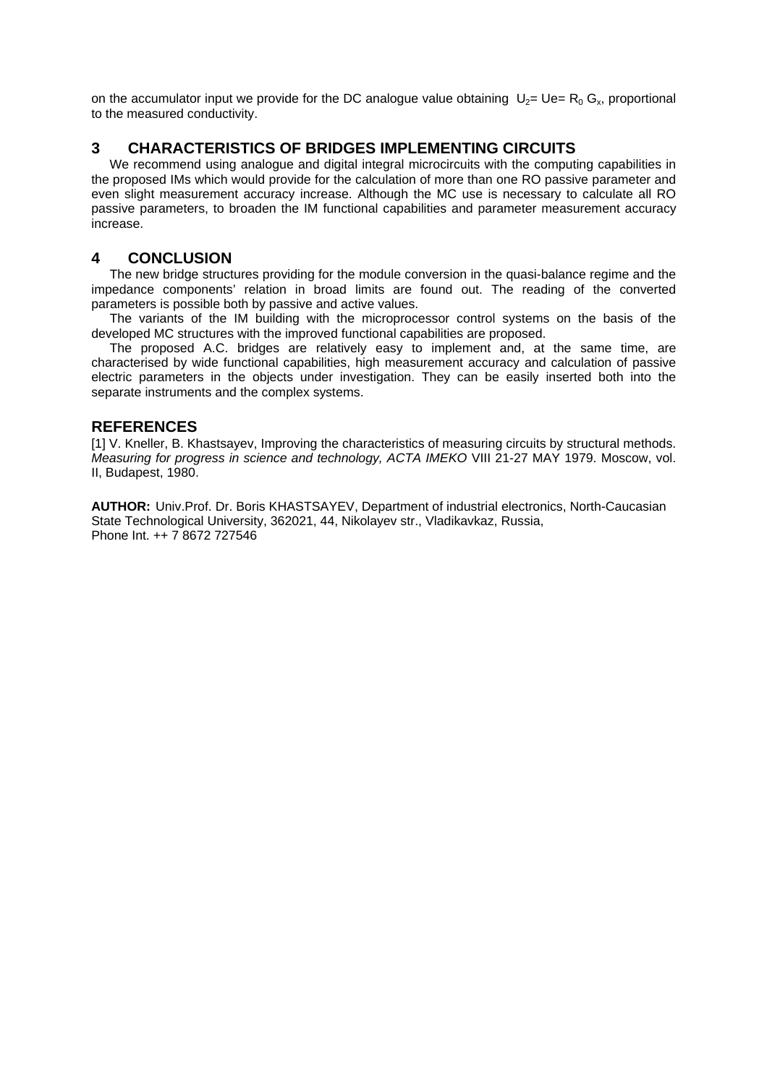on the accumulator input we provide for the DC analogue value obtaining  $U_2=Ue=R_0 G_x$ , proportional to the measured conductivity.

## **3 CHARACTERISTICS OF BRIDGES IMPLEMENTING CIRCUITS**

We recommend using analogue and digital integral microcircuits with the computing capabilities in the proposed IMs which would provide for the calculation of more than one RO passive parameter and even slight measurement accuracy increase. Although the MC use is necessary to calculate all RO passive parameters, to broaden the IM functional capabilities and parameter measurement accuracy increase.

## **4 CONCLUSION**

The new bridge structures providing for the module conversion in the quasi-balance regime and the impedance components' relation in broad limits are found out. The reading of the converted parameters is possible both by passive and active values.

The variants of the IM building with the microprocessor control systems on the basis of the developed MC structures with the improved functional capabilities are proposed.

The proposed A.C. bridges are relatively easy to implement and, at the same time, are characterised by wide functional capabilities, high measurement accuracy and calculation of passive electric parameters in the objects under investigation. They can be easily inserted both into the separate instruments and the complex systems.

### **REFERENCES**

[1] V. Kneller, B. Khastsayev, Improving the characteristics of measuring circuits by structural methods. *Measuring for progress in science and technology, ACTA IMEKO* VIII 21-27 MAY 1979. Moscow, vol. II, Budapest, 1980.

**AUTHOR:** Univ.Prof. Dr. Boris KHASTSAYEV, Department of industrial electronics, North-Caucasian State Technological University, 362021, 44, Nikolayev str., Vladikavkaz, Russia, Phone Int. ++ 7 8672 727546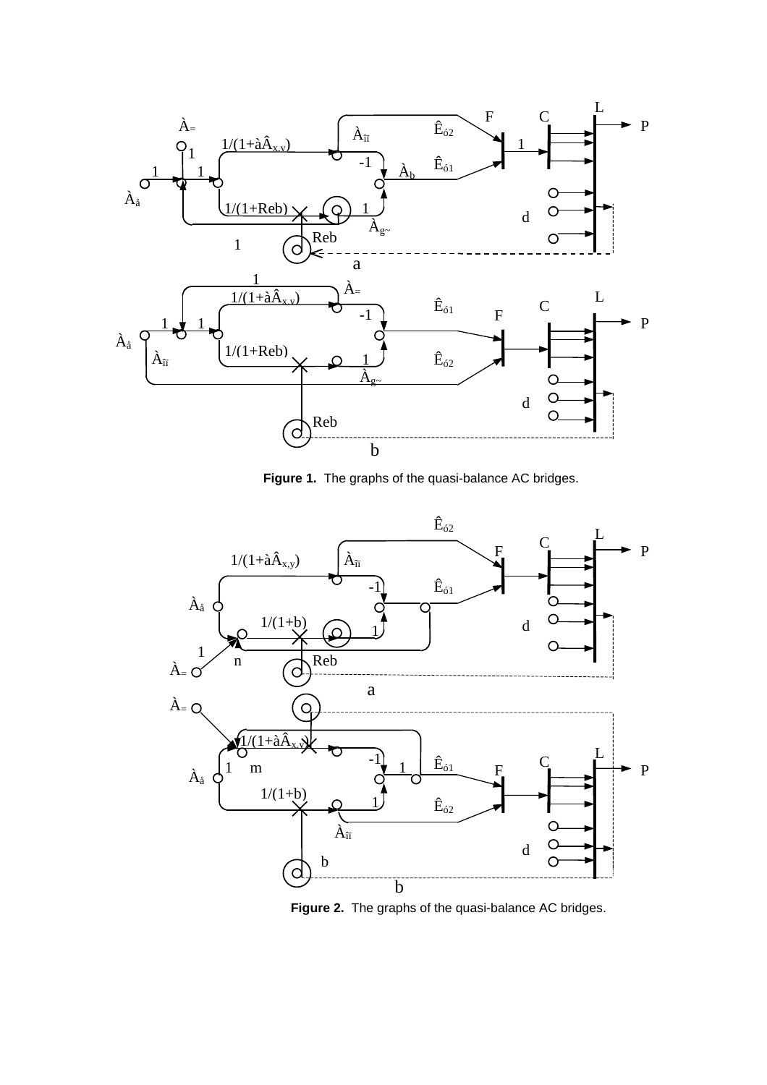

**Figure 1.** The graphs of the quasi-balance AC bridges.



**Figure 2.** The graphs of the quasi-balance AC bridges.